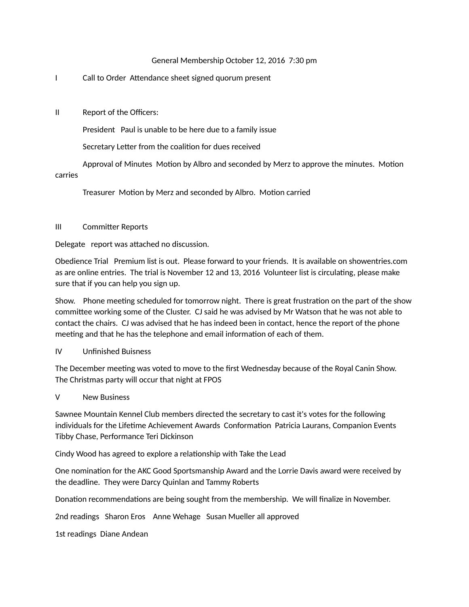## General Membership October 12, 2016 7:30 pm

## I Call to Order Attendance sheet signed quorum present

II Report of the Officers:

President Paul is unable to be here due to a family issue

Secretary Letter from the coalition for dues received

Approval of Minutes Motion by Albro and seconded by Merz to approve the minutes. Motion carries

Treasurer Motion by Merz and seconded by Albro. Motion carried

## III Committer Reports

Delegate report was attached no discussion.

Obedience Trial Premium list is out. Please forward to your friends. It is available on showentries.com as are online entries. The trial is November 12 and 13, 2016 Volunteer list is circulating, please make sure that if you can help you sign up.

Show. Phone meeting scheduled for tomorrow night. There is great frustration on the part of the show committee working some of the Cluster. CJ said he was advised by Mr Watson that he was not able to contact the chairs. CJ was advised that he has indeed been in contact, hence the report of the phone meeting and that he has the telephone and email information of each of them.

## IV Unfinished Buisness

The December meeting was voted to move to the first Wednesday because of the Royal Canin Show. The Christmas party will occur that night at FPOS

V New Business

Sawnee Mountain Kennel Club members directed the secretary to cast it's votes for the following individuals for the Lifetime Achievement Awards Conformation Patricia Laurans, Companion Events Tibby Chase, Performance Teri Dickinson

Cindy Wood has agreed to explore a relationship with Take the Lead

One nomination for the AKC Good Sportsmanship Award and the Lorrie Davis award were received by the deadline. They were Darcy Quinlan and Tammy Roberts

Donation recommendations are being sought from the membership. We will finalize in November.

2nd readings Sharon Eros Anne Wehage Susan Mueller all approved

1st readings Diane Andean